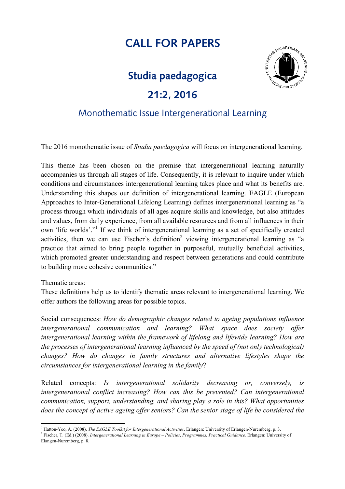## **CALL FOR PAPERS**

## **Studia paedagogica**

## **21:2, 2016**



## Monothematic Issue Intergenerational Learning

The 2016 monothematic issue of *Studia paedagogica* will focus on intergenerational learning.

This theme has been chosen on the premise that intergenerational learning naturally accompanies us through all stages of life. Consequently, it is relevant to inquire under which conditions and circumstances intergenerational learning takes place and what its benefits are. Understanding this shapes our definition of intergenerational learning. EAGLE (European Approaches to Inter-Generational Lifelong Learning) defines intergenerational learning as "a process through which individuals of all ages acquire skills and knowledge, but also attitudes and values, from daily experience, from all available resources and from all influences in their own 'life worlds'."1 If we think of intergenerational learning as a set of specifically created activities, then we can use Fischer's definition<sup>2</sup> viewing intergenerational learning as "a practice that aimed to bring people together in purposeful, mutually beneficial activities, which promoted greater understanding and respect between generations and could contribute to building more cohesive communities."

Thematic areas:

<u> 1989 - Johann Stein, marwolaethau a bh</u>

These definitions help us to identify thematic areas relevant to intergenerational learning. We offer authors the following areas for possible topics.

Social consequences: *How do demographic changes related to ageing populations influence intergenerational communication and learning? What space does society offer intergenerational learning within the framework of lifelong and lifewide learning? How are the processes of intergenerational learning influenced by the speed of (not only technological) changes? How do changes in family structures and alternative lifestyles shape the circumstances for intergenerational learning in the family*?

Related concepts: *Is intergenerational solidarity decreasing or, conversely, is intergenerational conflict increasing? How can this be prevented? Can intergenerational communication, support, understanding, and sharing play a role in this? What opportunities does the concept of active ageing offer seniors? Can the senior stage of life be considered the* 

<sup>1</sup> Hatton-Yeo, A. (2008). *The EAGLE Toolkit for Intergenerational Activities*. Erlangen: University of Erlangen-Nuremberg, p. 3.

<sup>2</sup> Fischer, T. (Ed.) (2008). *Intergenerational Learning in Europe – Policies, Programmes, Practical Guidance.* Erlangen: University of Elangen-Nuremberg, p. 8.